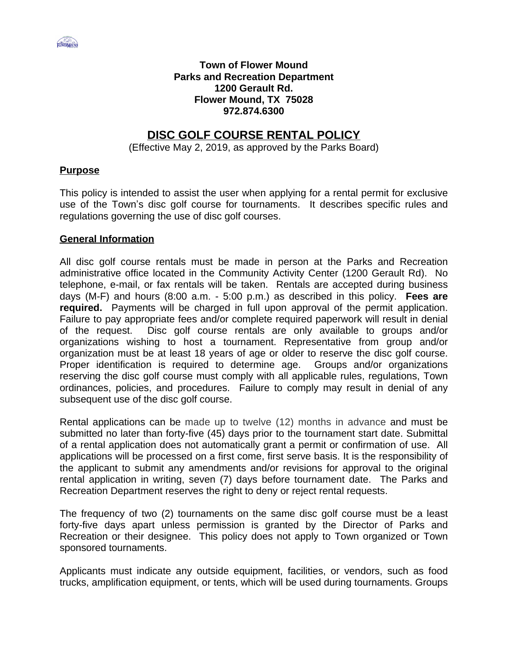

### **Town of Flower Mound Parks and Recreation Department 1200 Gerault Rd. Flower Mound, TX 75028 972.874.6300**

# **DISC GOLF COURSE RENTAL POLICY**

(Effective May 2, 2019, as approved by the Parks Board)

### **Purpose**

This policy is intended to assist the user when applying for a rental permit for exclusive use of the Town's disc golf course for tournaments. It describes specific rules and regulations governing the use of disc golf courses.

#### **General Information**

All disc golf course rentals must be made in person at the Parks and Recreation administrative office located in the Community Activity Center (1200 Gerault Rd). No telephone, e-mail, or fax rentals will be taken. Rentals are accepted during business days (M-F) and hours (8:00 a.m. - 5:00 p.m.) as described in this policy. **Fees are required.** Payments will be charged in full upon approval of the permit application. Failure to pay appropriate fees and/or complete required paperwork will result in denial of the request. Disc golf course rentals are only available to groups and/or organizations wishing to host a tournament. Representative from group and/or organization must be at least 18 years of age or older to reserve the disc golf course. Proper identification is required to determine age. Groups and/or organizations reserving the disc golf course must comply with all applicable rules, regulations, Town ordinances, policies, and procedures. Failure to comply may result in denial of any subsequent use of the disc golf course.

Rental applications can be made up to twelve (12) months in advance and must be submitted no later than forty-five (45) days prior to the tournament start date. Submittal of a rental application does not automatically grant a permit or confirmation of use. All applications will be processed on a first come, first serve basis. It is the responsibility of the applicant to submit any amendments and/or revisions for approval to the original rental application in writing, seven (7) days before tournament date. The Parks and Recreation Department reserves the right to deny or reject rental requests.

The frequency of two (2) tournaments on the same disc golf course must be a least forty-five days apart unless permission is granted by the Director of Parks and Recreation or their designee. This policy does not apply to Town organized or Town sponsored tournaments.

Applicants must indicate any outside equipment, facilities, or vendors, such as food trucks, amplification equipment, or tents, which will be used during tournaments. Groups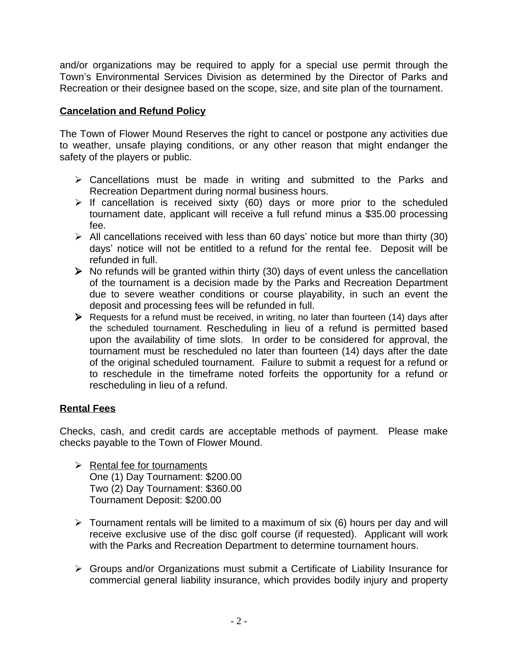and/or organizations may be required to apply for a special use permit through the Town's Environmental Services Division as determined by the Director of Parks and Recreation or their designee based on the scope, size, and site plan of the tournament.

## **Cancelation and Refund Policy**

The Town of Flower Mound Reserves the right to cancel or postpone any activities due to weather, unsafe playing conditions, or any other reason that might endanger the safety of the players or public.

- $\triangleright$  Cancellations must be made in writing and submitted to the Parks and Recreation Department during normal business hours.
- $\triangleright$  If cancellation is received sixty (60) days or more prior to the scheduled tournament date, applicant will receive a full refund minus a \$35.00 processing fee.
- $\triangleright$  All cancellations received with less than 60 days' notice but more than thirty (30) days' notice will not be entitled to a refund for the rental fee. Deposit will be refunded in full.
- $\triangleright$  No refunds will be granted within thirty (30) days of event unless the cancellation of the tournament is a decision made by the Parks and Recreation Department due to severe weather conditions or course playability, in such an event the deposit and processing fees will be refunded in full.
- $\triangleright$  Requests for a refund must be received, in writing, no later than fourteen (14) days after the scheduled tournament. Rescheduling in lieu of a refund is permitted based upon the availability of time slots. In order to be considered for approval, the tournament must be rescheduled no later than fourteen (14) days after the date of the original scheduled tournament. Failure to submit a request for a refund or to reschedule in the timeframe noted forfeits the opportunity for a refund or rescheduling in lieu of a refund.

# **Rental Fees**

Checks, cash, and credit cards are acceptable methods of payment. Please make checks payable to the Town of Flower Mound.

- $\triangleright$  Rental fee for tournaments One (1) Day Tournament: \$200.00 Two (2) Day Tournament: \$360.00 Tournament Deposit: \$200.00
- $\triangleright$  Tournament rentals will be limited to a maximum of six (6) hours per day and will receive exclusive use of the disc golf course (if requested). Applicant will work with the Parks and Recreation Department to determine tournament hours.
- Groups and/or Organizations must submit a Certificate of Liability Insurance for commercial general liability insurance, which provides bodily injury and property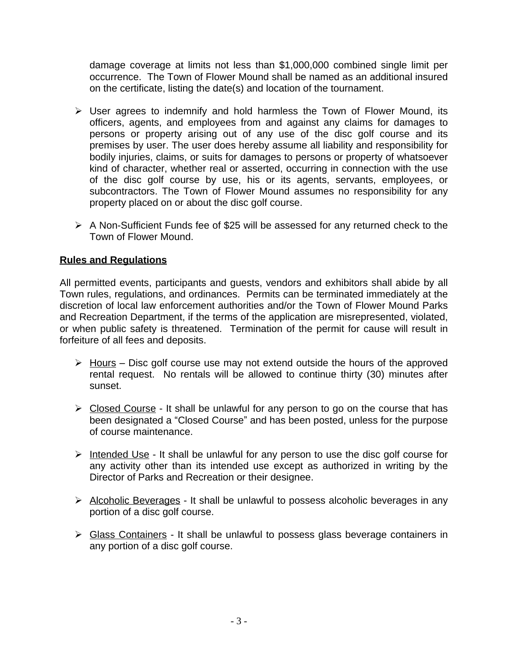damage coverage at limits not less than \$1,000,000 combined single limit per occurrence. The Town of Flower Mound shall be named as an additional insured on the certificate, listing the date(s) and location of the tournament.

- $\triangleright$  User agrees to indemnify and hold harmless the Town of Flower Mound, its officers, agents, and employees from and against any claims for damages to persons or property arising out of any use of the disc golf course and its premises by user. The user does hereby assume all liability and responsibility for bodily injuries, claims, or suits for damages to persons or property of whatsoever kind of character, whether real or asserted, occurring in connection with the use of the disc golf course by use, his or its agents, servants, employees, or subcontractors. The Town of Flower Mound assumes no responsibility for any property placed on or about the disc golf course.
- $\triangleright$  A Non-Sufficient Funds fee of \$25 will be assessed for any returned check to the Town of Flower Mound.

## **Rules and Regulations**

All permitted events, participants and guests, vendors and exhibitors shall abide by all Town rules, regulations, and ordinances. Permits can be terminated immediately at the discretion of local law enforcement authorities and/or the Town of Flower Mound Parks and Recreation Department, if the terms of the application are misrepresented, violated, or when public safety is threatened. Termination of the permit for cause will result in forfeiture of all fees and deposits.

- $\triangleright$  Hours Disc golf course use may not extend outside the hours of the approved rental request. No rentals will be allowed to continue thirty (30) minutes after sunset.
- $\triangleright$  Closed Course It shall be unlawful for any person to go on the course that has been designated a "Closed Course" and has been posted, unless for the purpose of course maintenance.
- $\triangleright$  Intended Use It shall be unlawful for any person to use the disc golf course for any activity other than its intended use except as authorized in writing by the Director of Parks and Recreation or their designee.
- $\triangleright$  Alcoholic Beverages It shall be unlawful to possess alcoholic beverages in any portion of a disc golf course.
- Siges Containers It shall be unlawful to possess glass beverage containers in any portion of a disc golf course.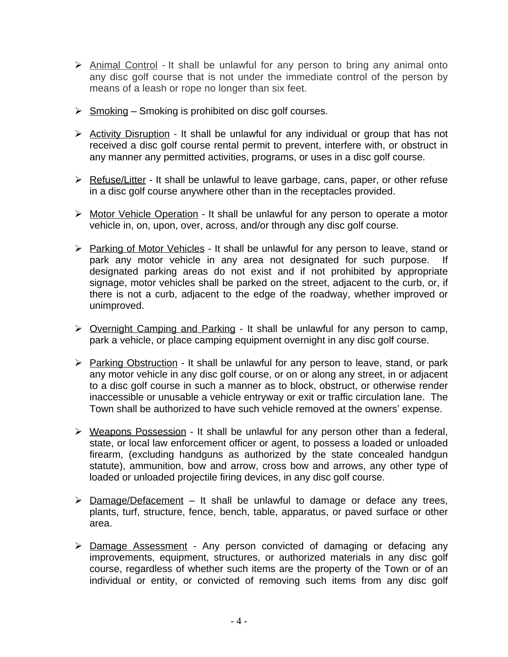- Animal Control *-* It shall be unlawful for any person to bring any animal onto any disc golf course that is not under the immediate control of the person by means of a leash or rope no longer than six feet.
- $\triangleright$  Smoking Smoking is prohibited on disc golf courses.
- $\triangleright$  Activity Disruption It shall be unlawful for any individual or group that has not received a disc golf course rental permit to prevent, interfere with, or obstruct in any manner any permitted activities, programs, or uses in a disc golf course.
- $\triangleright$  Refuse/Litter It shall be unlawful to leave garbage, cans, paper, or other refuse in a disc golf course anywhere other than in the receptacles provided.
- > Motor Vehicle Operation It shall be unlawful for any person to operate a motor vehicle in, on, upon, over, across, and/or through any disc golf course.
- Parking of Motor Vehicles It shall be unlawful for any person to leave, stand or park any motor vehicle in any area not designated for such purpose. designated parking areas do not exist and if not prohibited by appropriate signage, motor vehicles shall be parked on the street, adjacent to the curb, or, if there is not a curb, adjacent to the edge of the roadway, whether improved or unimproved.
- ▶ Overnight Camping and Parking It shall be unlawful for any person to camp, park a vehicle, or place camping equipment overnight in any disc golf course.
- Parking Obstruction It shall be unlawful for any person to leave, stand, or park any motor vehicle in any disc golf course, or on or along any street, in or adjacent to a disc golf course in such a manner as to block, obstruct, or otherwise render inaccessible or unusable a vehicle entryway or exit or traffic circulation lane. The Town shall be authorized to have such vehicle removed at the owners' expense.
- $\triangleright$  Weapons Possession It shall be unlawful for any person other than a federal, state, or local law enforcement officer or agent, to possess a loaded or unloaded firearm, (excluding handguns as authorized by the state concealed handgun statute), ammunition, bow and arrow, cross bow and arrows, any other type of loaded or unloaded projectile firing devices, in any disc golf course.
- $\triangleright$  Damage/Defacement It shall be unlawful to damage or deface any trees, plants, turf, structure, fence, bench, table, apparatus, or paved surface or other area.
- $\triangleright$  Damage Assessment Any person convicted of damaging or defacing any improvements, equipment, structures, or authorized materials in any disc golf course, regardless of whether such items are the property of the Town or of an individual or entity, or convicted of removing such items from any disc golf